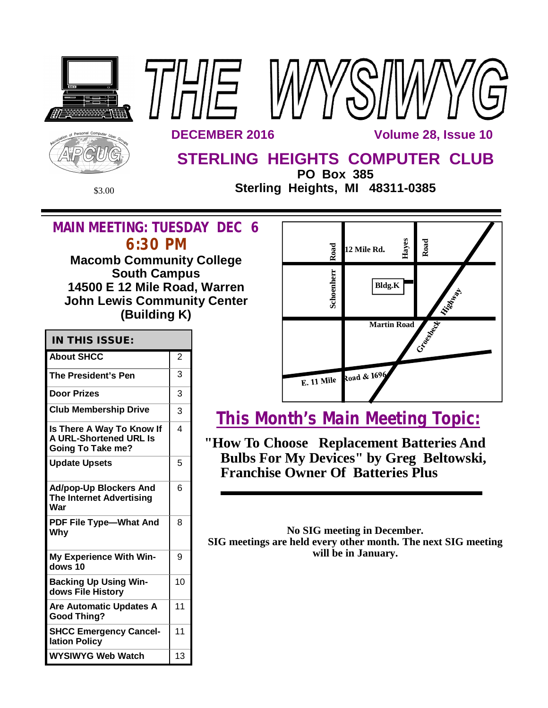

**PO Box 385** \$3.00 **Sterling Heights, MI 48311-0385**

## **MAIN MEETING: TUESDAY DEC 6 6:30 PM**

**Macomb Community College South Campus 14500 E 12 Mile Road, Warren John Lewis Community Center (Building K)**

| <b>IN THIS ISSUE:</b>                                                                  |                |
|----------------------------------------------------------------------------------------|----------------|
| <b>About SHCC</b>                                                                      | $\overline{2}$ |
| The President's Pen                                                                    | 3              |
| Door Prizes                                                                            | 3              |
| <b>Club Membership Drive</b>                                                           | 3              |
| Is There A Way To Know If<br><b>A URL-Shortened URL Is</b><br><b>Going To Take me?</b> | 4              |
| <b>Update Upsets</b>                                                                   | 5              |
| <b>Ad/pop-Up Blockers And</b><br><b>The Internet Advertising</b><br>War                | 6              |
| PDF File Type-What And<br>Why                                                          | 8              |
| <b>My Experience With Win-</b><br>dows 10                                              | 9              |
| <b>Backing Up Using Win-</b><br>dows File History                                      | 10             |
| Are Automatic Updates A<br><b>Good Thing?</b>                                          | 11             |
| <b>SHCC Emergency Cancel-</b><br>lation Policy                                         | 11             |
| WYSIWYG Web Watch                                                                      | 13             |



# **This Month's Main Meeting Topic:**

**"How To Choose Replacement Batteries And Bulbs For My Devices" by Greg Beltowski, Franchise Owner Of Batteries Plus**

**No SIG meeting in December. SIG meetings are held every other month. The next SIG meeting will be in January.**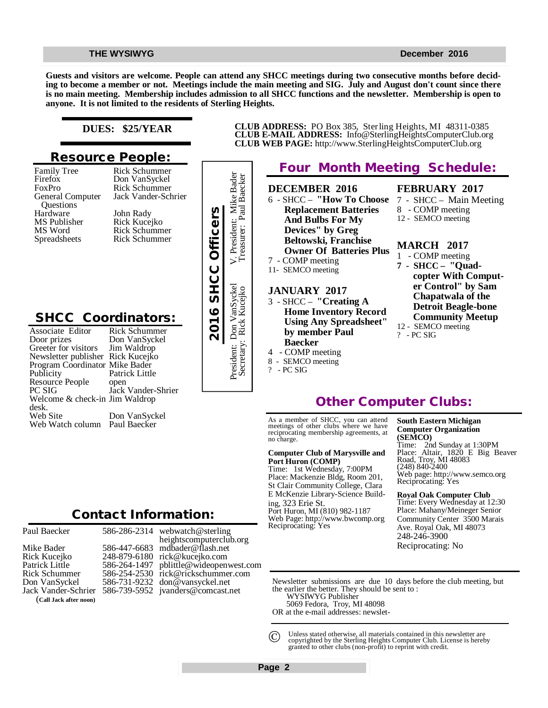#### **THE WYSIWYG** December 2016

**Guests and visitors are welcome. People can attend any SHCC meetings during two consecutive months before deciding to become a member or not. Meetings include the main meeting and SIG. July and August don't count since there is no main meeting. Membership includes admission to all SHCC functions and the newsletter. Membership is open to anyone. It is not limited to the residents of Sterling Heights.**

#### **DUES: \$25/YEAR**

### **Resource People:**

Family Tree Firefox FoxPro General Computer Questions Hardware MS Publisher MS Word Spreadsheets

Rick Schummer Jack Vander-Schrier John Rady Rick Kucejko Rick Schummer Rick Schummer

Rick Schummer Don VanSyckel

## **SHCC Coordinators:**

| Hardware<br>MS Publisher<br>MS Word<br><b>Spreadsheets</b>                                                                                                                                                                                                                       | John Rady<br>Rick Kucejko<br><b>Rick Schummer</b><br><b>Rick Schummer</b>                                                      | 2016 SHCC Officers |
|----------------------------------------------------------------------------------------------------------------------------------------------------------------------------------------------------------------------------------------------------------------------------------|--------------------------------------------------------------------------------------------------------------------------------|--------------------|
| <b>SHCC Coordinators:</b><br>Associate Editor<br>Door prizes<br>Greeter for visitors<br>Newsletter publisher Rick Kucejko<br>Program Coordinator Mike Bader<br>Publicity<br>Resource People<br>PC SIG<br>Welcome & check-in Jim Waldrop<br>desk.<br>Web Site<br>Web Watch column | Rick Schummer<br>Don VanSyckel<br>Jim Waldrop<br>Patrick Little<br>open<br>Jack Vander-Shrier<br>Don VanSyckel<br>Paul Baecker |                    |
|                                                                                                                                                                                                                                                                                  | <b>Contact Information:</b>                                                                                                    |                    |

Paul Baecker

### 586-286-2314

Mike Bader Rick Kucejko Patrick Little Rick Schummer Don VanSyckel Jack Vander-Schrier (**Call Jack after noon)**

586-447-6683 248-879-6180 586-264-1497 586-254-2530 [rick@rickschummer.com](mailto:rick@rickschummer.com) 586-731-9232 [don@vansyckel.net](mailto:don@vansyckel.net) 586-739-5952 [jvanders@comcast.net](mailto:jvanders@comcast.net) webwatch@sterling heightscomputerclub.org [mdbader@flash.net](mailto:mdbader@flash.net) [rick@kucejko.com](mailto:rick@kucejko.com) [pblittle@wideopenwest.com](mailto:pblittle@wideopenwest.com)



**CLUB ADDRESS:** PO Box 385, Sterling Heights, MI 48311-0385 **CLUB E-MAIL ADDRESS:** [Info@SterlingHeightsComputerClub.org](mailto:Info@SterlingHeightsComputerClub.org) **CLUB WEB PAGE:** <http://www.SterlingHeightsComputerClub.org>

## **Other Computer Clubs:**

As a member of SHCC, you can attend meetings of other clubs where we have reciprocating membership agreements, at no charge.

#### **Computer Club of Marysville and Port Huron (COMP)**

Time: 1st Wednesday, 7:00PM Place: Mackenzie Bldg, Room 201, St Clair Community College, Clara E McKenzie Library-Science Building, 323 Erie St. Port Huron, MI (810) 982-1187 Web Page:<http://www.bwcomp.org> Reciprocating: Yes

#### **South Eastern Michigan Computer Organization (SEMCO)**

Time: 2nd Sunday at 1:30PM Place: Altair, 1820 E Big Beaver Road, Troy, MI 48083 (248) 840-2400 Web page: <http://www.semco.org> Reciprocating: Yes

#### **Royal Oak Computer Club**

Time: Every Wednesday at 12:30 Place: Mahany/Meineger Senior Community Center 3500 Marais Ave. Royal Oak, MI 48073 248-246-3900 Reciprocating: No

Newsletter submissions are due 10 days before the club meeting, but the earlier the better. They should be sent to :

WYSIWYG Publisher

5069 Fedora, Troy, MI 48098

OR at the e-mail addresses: newslet-

Unless stated otherwise, all materials contained in this newsletter are copyrighted by the Sterling Heights Computer Club. License is hereby granted to other clubs (non-profit) to reprint with credit.  $\odot$ 

**Page 2**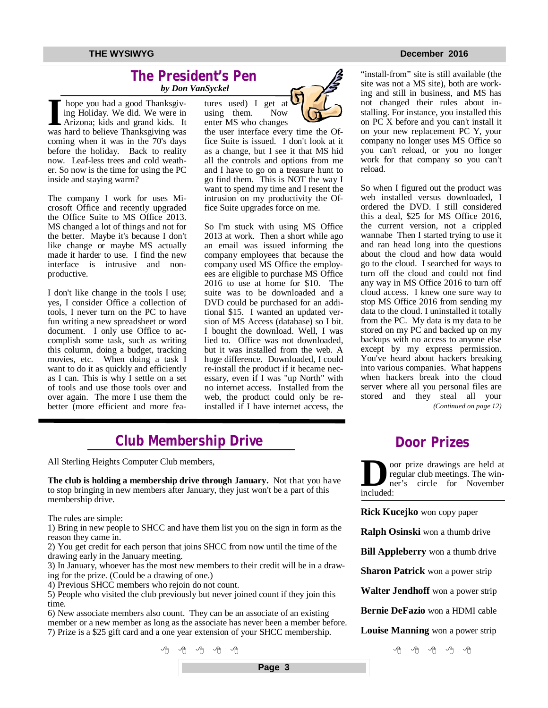### **The President's Pen**   *by Don VanSyckel*

I hope you had a good Thanksgiving Holiday. We did. We were in Arizona; kids and grand kids. It was hard to believe Thanksgiving was hope you had a good Thanksgiving Holiday. We did. We were in Arizona; kids and grand kids. It coming when it was in the 70's days before the holiday. Back to reality now. Leaf-less trees and cold weather. So now is the time for using the PC inside and staying warm?

The company I work for uses Microsoft Office and recently upgraded the Office Suite to MS Office 2013. MS changed a lot of things and not for the better. Maybe it's because I don't like change or maybe MS actually made it harder to use. I find the new interface is intrusive and nonproductive.

I don't like change in the tools I use; yes, I consider Office a collection of tools, I never turn on the PC to have fun writing a new spreadsheet or word document. I only use Office to accomplish some task, such as writing this column, doing a budget, tracking movies, etc. When doing a task I want to do it as quickly and efficiently as I can. This is why I settle on a set of tools and use those tools over and over again. The more I use them the better (more efficient and more fea-



the user interface every time the Office Suite is issued. I don't look at it as a change, but I see it that MS hid all the controls and options from me and I have to go on a treasure hunt to go find them. This is NOT the way I want to spend my time and I resent the intrusion on my productivity the Office Suite upgrades force on me.

So I'm stuck with using MS Office 2013 at work. Then a short while ago an email was issued informing the company employees that because the company used MS Office the employees are eligible to purchase MS Office 2016 to use at home for \$10. The suite was to be downloaded and a DVD could be purchased for an additional \$15. I wanted an updated version of MS Access (database) so I bit. I bought the download. Well, I was lied to. Office was not downloaded, but it was installed from the web. A huge difference. Downloaded, I could re-install the product if it became necessary, even if I was "up North" with no internet access. Installed from the web, the product could only be reinstalled if I have internet access, the

#### **THE WYSIWYG DECEMBER 2016**

"install-from" site is still available (the site was not a MS site), both are working and still in business, and MS has not changed their rules about installing. For instance, you installed this on PC X before and you can't install it on your new replacement PC Y, your company no longer uses MS Office so you can't reload, or you no longer work for that company so you can't reload.

So when I figured out the product was web installed versus downloaded, I ordered the DVD. I still considered this a deal, \$25 for MS Office 2016, the current version, not a crippled wannabe Then I started trying to use it and ran head long into the questions about the cloud and how data would go to the cloud. I searched for ways to turn off the cloud and could not find any way in MS Office 2016 to turn off cloud access. I knew one sure way to stop MS Office 2016 from sending my data to the cloud. I uninstalled it totally from the PC. My data is my data to be stored on my PC and backed up on my backups with no access to anyone else except by my express permission. You've heard about hackers breaking into various companies. What happens when hackers break into the cloud server where all you personal files are stored and they steal all your *(Continued on page 12)*

## **Club Membership Drive**

All Sterling Heights Computer Club members,

**The club is holding a membership drive through January.** Not that you have to stop bringing in new members after January, they just won't be a part of this membership drive.

The rules are simple:

1) Bring in new people to SHCC and have them list you on the sign in form as the reason they came in.

2) You get credit for each person that joins SHCC from now until the time of the drawing early in the January meeting.

3) In January, whoever has the most new members to their credit will be in a drawing for the prize. (Could be a drawing of one.)

4) Previous SHCC members who rejoin do not count.

5) People who visited the club previously but never joined count if they join this time.

6) New associate members also count. They can be an associate of an existing member or a new member as long as the associate has never been a member before. 7) Prize is a \$25 gift card and a one year extension of your SHCC membership.



**Door Prizes** 

**D** included: oor prize drawings are held at regular club meetings. The winner's circle for November

**Rick Kucejko** won copy paper

**Ralph Osinski** won a thumb drive

**Bill Appleberry** won a thumb drive

**Sharon Patrick** won a power strip

**Walter Jendhoff** won a power strip

**Bernie DeFazio** won a HDMI cable

**Louise Manning** won a power strip

 $A$   $A$   $A$   $A$   $A$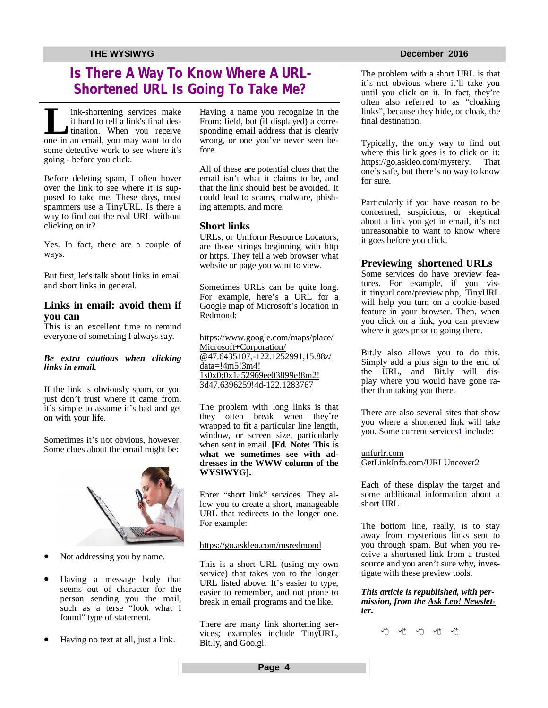## **Is There A Way To Know Where A URL-Shortened URL Is Going To Take Me?**

**L** ink-shortening services make it hard to tell a link's final destination. When you receive one in an email, you may want to do ink-shortening services make it hard to tell a link's final destination. When you receive some detective work to see where it's going - before you click.

Before deleting spam, I often hover over the link to see where it is supposed to take me. These days, most spammers use a TinyURL. Is there a way to find out the real URL without clicking on it?

Yes. In fact, there are a couple of ways.

But first, let's talk about links in email and short links in general.

### **Links in email: avoid them if you can**

This is an excellent time to remind everyone of something I always say.

#### *Be extra cautious when clicking links in email.*

If the link is obviously spam, or you just don't trust where it came from, it's simple to assume it's bad and get on with your life.

Sometimes it's not obvious, however. Some clues about the email might be:



- Not addressing you by name.
- Having a message body that seems out of character for the person sending you the mail, such as a terse "look what I found" type of statement.
- Having no text at all, just a link.

Having a name you recognize in the From: field, but (if displayed) a corresponding email address that is clearly wrong, or one you've never seen before.

All of these are potential clues that the email isn't what it claims to be, and that the link should best be avoided. It could lead to scams, malware, phishing attempts, and more.

#### **Short links**

URLs, or Uniform Resource Locators, are those strings beginning with http or https. They tell a web browser what website or page you want to view.

Sometimes URLs can be quite long. For example, here's a URL for a Google map of Microsoft's location in Redmond:

<https://www.google.com/maps/place/> Microsoft+Corporation/ [@47.6435107,-122.1252991,15.88z/](mailto:@47.6435107,-122.1252991,15.88z/) data=!4m5!3m4! 1s0x0:0x1a52969ee03899e!8m2! 3d47.6396259!4d-122.1283767

The problem with long links is that they often break when they're wrapped to fit a particular line length, window, or screen size, particularly when sent in email. **[Ed. Note: This is what we sometimes see with addresses in the WWW column of the WYSIWYG].**

Enter "short link" services. They allow you to create a short, manageable URL that redirects to the longer one. For example:

#### <https://go.askleo.com/msredmond>

This is a short URL (using my own service) that takes you to the longer URL listed above. It's easier to type, easier to remember, and not prone to break in email programs and the like.

There are many link shortening services; examples include TinyURL, Bit.ly, and Goo.gl.

The problem with a short URL is that it's not obvious where it'll take you until you click on it. In fact, they're often also referred to as "cloaking links", because they hide, or cloak, the final destination.

Typically, the only way to find out where this link goes is to click on it: <https://go.askleo.com/mystery.>That one's safe, but there's no way to know for sure.

Particularly if you have reason to be concerned, suspicious, or skeptical about a link you get in email, it's not unreasonable to want to know where it goes before you click.

#### **Previewing shortened URLs**

Some services do have preview features. For example, if you visit tinyurl.com/preview.php, TinyURL will help you turn on a cookie-based feature in your browser. Then, when you click on a link, you can preview where it goes prior to going there.

Bit.ly also allows you to do this. Simply add a plus sign to the end of the URL, and Bit.ly will display where you would have gone rather than taking you there.

There are also several sites that show you where a shortened link will take you. Some current services<sup>1</sup> include:

unfurlr.com GetLinkInfo.com/URLUncover2

Each of these display the target and some additional information about a short URL.

The bottom line, really, is to stay away from mysterious links sent to you through spam. But when you receive a shortened link from a trusted source and you aren't sure why, investigate with these preview tools.

*This article is republished, with permission, from the Ask Leo! Newsletter.* 

一个 一个 一个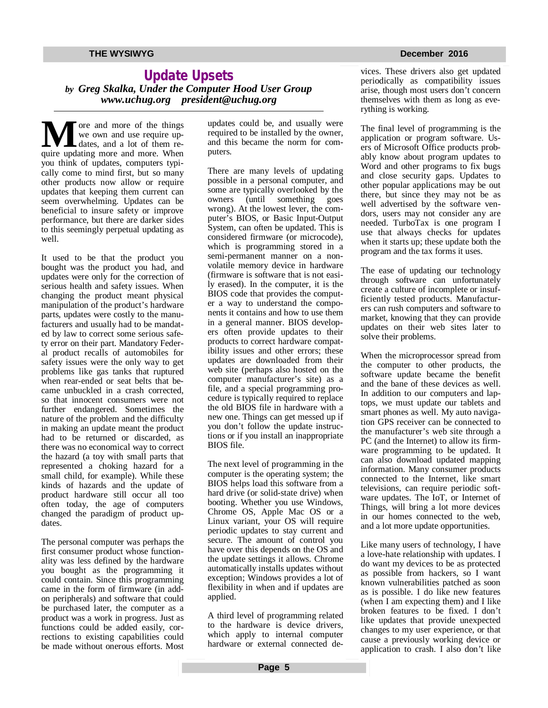### **Update Upsets** *by Greg Skalka, Under the Computer Hood User Group [www.uchug.org](http://www.uchug.org) [president@uchug.org](mailto:president@uchug.org)*

**M** ore and more of the things<br>we own and use require up-<br>quire updating more and more. When ore and more of the things we own and use require updates, and a lot of them reyou think of updates, computers typically come to mind first, but so many other products now allow or require updates that keeping them current can seem overwhelming. Updates can be beneficial to insure safety or improve performance, but there are darker sides to this seemingly perpetual updating as well.

It used to be that the product you bought was the product you had, and updates were only for the correction of serious health and safety issues. When changing the product meant physical manipulation of the product's hardware parts, updates were costly to the manufacturers and usually had to be mandated by law to correct some serious safety error on their part. Mandatory Federal product recalls of automobiles for safety issues were the only way to get problems like gas tanks that ruptured when rear-ended or seat belts that became unbuckled in a crash corrected, so that innocent consumers were not further endangered. Sometimes the nature of the problem and the difficulty in making an update meant the product had to be returned or discarded, as there was no economical way to correct the hazard (a toy with small parts that represented a choking hazard for a small child, for example). While these kinds of hazards and the update of product hardware still occur all too often today, the age of computers changed the paradigm of product updates.

The personal computer was perhaps the first consumer product whose functionality was less defined by the hardware you bought as the programming it could contain. Since this programming came in the form of firmware (in addon peripherals) and software that could be purchased later, the computer as a product was a work in progress. Just as functions could be added easily, corrections to existing capabilities could be made without onerous efforts. Most updates could be, and usually were required to be installed by the owner, and this became the norm for computers.

There are many levels of updating possible in a personal computer, and some are typically overlooked by the owners (until something goes wrong). At the lowest lever, the computer's BIOS, or Basic Input-Output System, can often be updated. This is considered firmware (or microcode), which is programming stored in a semi-permanent manner on a nonvolatile memory device in hardware (firmware is software that is not easily erased). In the computer, it is the BIOS code that provides the computer a way to understand the components it contains and how to use them in a general manner. BIOS developers often provide updates to their products to correct hardware compatibility issues and other errors; these updates are downloaded from their web site (perhaps also hosted on the computer manufacturer's site) as a file, and a special programming procedure is typically required to replace the old BIOS file in hardware with a new one. Things can get messed up if you don't follow the update instructions or if you install an inappropriate BIOS file.

The next level of programming in the computer is the operating system; the BIOS helps load this software from a hard drive (or solid-state drive) when booting. Whether you use Windows, Chrome OS, Apple Mac OS or a Linux variant, your OS will require periodic updates to stay current and secure. The amount of control you have over this depends on the OS and the update settings it allows. Chrome automatically installs updates without exception; Windows provides a lot of flexibility in when and if updates are applied.

A third level of programming related to the hardware is device drivers, which apply to internal computer hardware or external connected devices. These drivers also get updated periodically as compatibility issues arise, though most users don't concern themselves with them as long as everything is working.

The final level of programming is the application or program software. Users of Microsoft Office products probably know about program updates to Word and other programs to fix bugs and close security gaps. Updates to other popular applications may be out there, but since they may not be as well advertised by the software vendors, users may not consider any are needed. TurboTax is one program I use that always checks for updates when it starts up; these update both the program and the tax forms it uses.

The ease of updating our technology through software can unfortunately create a culture of incomplete or insufficiently tested products. Manufacturers can rush computers and software to market, knowing that they can provide updates on their web sites later to solve their problems.

When the microprocessor spread from the computer to other products, the software update became the benefit and the bane of these devices as well. In addition to our computers and laptops, we must update our tablets and smart phones as well. My auto navigation GPS receiver can be connected to the manufacturer's web site through a PC (and the Internet) to allow its firmware programming to be updated. It can also download updated mapping information. Many consumer products connected to the Internet, like smart televisions, can require periodic software updates. The IoT, or Internet of Things, will bring a lot more devices in our homes connected to the web, and a lot more update opportunities.

Like many users of technology, I have a love-hate relationship with updates. I do want my devices to be as protected as possible from hackers, so I want known vulnerabilities patched as soon as is possible. I do like new features (when I am expecting them) and I like broken features to be fixed. I don't like updates that provide unexpected changes to my user experience, or that cause a previously working device or application to crash. I also don't like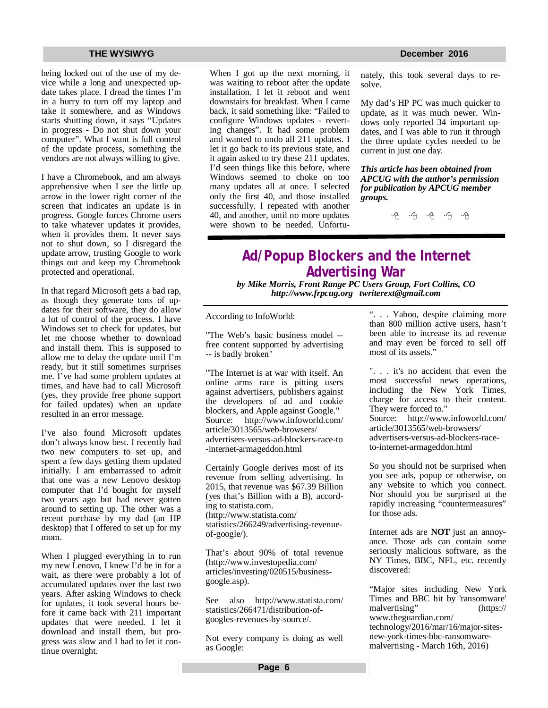being locked out of the use of my device while a long and unexpected update takes place. I dread the times I'm in a hurry to turn off my laptop and take it somewhere, and as Windows starts shutting down, it says "Updates in progress - Do not shut down your computer". What I want is full control of the update process, something the vendors are not always willing to give.

I have a Chromebook, and am always apprehensive when I see the little up arrow in the lower right corner of the screen that indicates an update is in progress. Google forces Chrome users to take whatever updates it provides, when it provides them. It never says not to shut down, so I disregard the update arrow, trusting Google to work things out and keep my Chromebook protected and operational.

In that regard Microsoft gets a bad rap, as though they generate tons of updates for their software, they do allow a lot of control of the process. I have Windows set to check for updates, but let me choose whether to download and install them. This is supposed to allow me to delay the update until I'm ready, but it still sometimes surprises me. I've had some problem updates at times, and have had to call Microsoft (yes, they provide free phone support for failed updates) when an update resulted in an error message.

I've also found Microsoft updates don't always know best. I recently had two new computers to set up, and spent a few days getting them updated initially. I am embarrassed to admit that one was a new Lenovo desktop computer that I'd bought for myself two years ago but had never gotten around to setting up. The other was a recent purchase by my dad (an HP desktop) that I offered to set up for my mom.

When I plugged everything in to run my new Lenovo, I knew I'd be in for a wait, as there were probably a lot of accumulated updates over the last two years. After asking Windows to check for updates, it took several hours before it came back with 211 important updates that were needed. I let it download and install them, but progress was slow and I had to let it continue overnight.

When I got up the next morning, it was waiting to reboot after the update installation. I let it reboot and went downstairs for breakfast. When I came back, it said something like: "Failed to configure Windows updates - reverting changes". It had some problem and wanted to undo all 211 updates. I let it go back to its previous state, and it again asked to try these 211 updates. I'd seen things like this before, where Windows seemed to choke on too many updates all at once. I selected only the first 40, and those installed successfully. I repeated with another 40, and another, until no more updates were shown to be needed. Unfortu-

nately, this took several days to resolve.

My dad's HP PC was much quicker to update, as it was much newer. Windows only reported 34 important updates, and I was able to run it through the three update cycles needed to be current in just one day.

*This article has been obtained from APCUG with the author's permission for publication by APCUG member groups.*

A A A A A

## **Ad/Popup Blockers and the Internet Advertising War**

*by Mike Morris, Front Range PC Users Group, Fort Collins, CO <http://www.frpcug.org>[twriterext@gmail.com](mailto:twriterext@gmail.com)*

According to InfoWorld:

"The Web's basic business model - free content supported by advertising -- is badly broken"

"The Internet is at war with itself. An online arms race is pitting users against advertisers, publishers against the developers of ad and cookie blockers, and Apple against Google." Source: <http://www.infoworld.com/> article/3013565/web-browsers/ advertisers-versus-ad-blockers-race-to -internet-armageddon.html

Certainly Google derives most of its revenue from selling advertising. In 2015, that revenue was \$67.39 Billion (yes that's Billion with a B), according to statista.com. [\(http://www.statista.com/](http://www.statista.com/) statistics/266249/advertising-revenueof-google/).

That's about 90% of total revenue [\(http://www.investopedia.com/](http://www.investopedia.com/) articles/investing/020515/businessgoogle.asp).

See also <http://www.statista.com/> statistics/266471/distribution-ofgoogles-revenues-by-source/.

Not every company is doing as well as Google:

". . . Yahoo, despite claiming more than 800 million active users, hasn't been able to increase its ad revenue and may even be forced to sell off most of its assets."

". . . it's no accident that even the most successful news operations, including the New York Times, charge for access to their content. They were forced to." Source: <http://www.infoworld.com/> article/3013565/web-browsers/ advertisers-versus-ad-blockers-raceto-internet-armageddon.html

So you should not be surprised when you see ads, popup or otherwise, on any website to which you connect. Nor should you be surprised at the rapidly increasing "countermeasures" for those ads.

Internet ads are **NOT** just an annoyance. Those ads can contain some seriously malicious software, as the NY Times, BBC, NFL, etc. recently discovered:

"Major sites including New York Times and BBC hit by 'ransomware' malvertising" [\(https://](https://) [www.theguardian.com/](http://www.theguardian.com/) technology/2016/mar/16/major-sitesnew-york-times-bbc-ransomwaremalvertising - March 16th, 2016)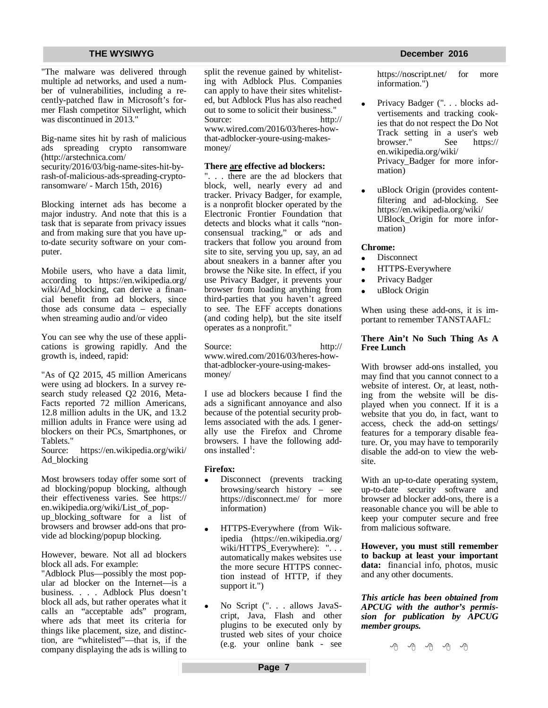"The malware was delivered through multiple ad networks, and used a number of vulnerabilities, including a recently-patched flaw in Microsoft's former Flash competitor Silverlight, which was discontinued in 2013."

Big-name sites hit by rash of malicious ads spreading crypto ransomware [\(http://arstechnica.com/](http://arstechnica.com/) security/2016/03/big-name-sites-hit-byrash-of-malicious-ads-spreading-cryptoransomware/ - March 15th, 2016)

Blocking internet ads has become a major industry. And note that this is a task that is separate from privacy issues and from making sure that you have upto-date security software on your computer.

Mobile users, who have a data limit, according to <https://en.wikipedia.org/> wiki/Ad\_blocking, can derive a financial benefit from ad blockers, since those ads consume data – especially when streaming audio and/or video

You can see why the use of these applications is growing rapidly. And the growth is, indeed, rapid:

"As of Q2 2015, 45 million Americans were using ad blockers. In a survey research study released Q2 2016, Meta-Facts reported 72 million Americans, 12.8 million adults in the UK, and 13.2 million adults in France were using ad blockers on their PCs, Smartphones, or Tablets."

Source: <https://en.wikipedia.org/wiki/> Ad\_blocking

Most browsers today offer some sort of ad blocking/popup blocking, although their effectiveness varies. See <https://> en.wikipedia.org/wiki/List\_of\_popup\_blocking\_software for a list of browsers and browser add-ons that provide ad blocking/popup blocking.

However, beware. Not all ad blockers block all ads. For example:

"Adblock Plus—possibly the most popular ad blocker on the Internet—is a business. . . . Adblock Plus doesn't block all ads, but rather operates what it calls an "acceptable ads" program, where ads that meet its criteria for things like placement, size, and distinction, are "whitelisted"—that is, if the company displaying the ads is willing to split the revenue gained by whitelisting with Adblock Plus. Companies can apply to have their sites whitelisted, but Adblock Plus has also reached out to some to solicit their business." Source: <http://> [www.wired.com/2016/03/heres-how](http://www.wired.com/2016/03/heres-how-)that-adblocker-youre-using-makesmoney/

#### **There are effective ad blockers:**

"... there are the ad blockers that block, well, nearly every ad and tracker. Privacy Badger, for example, is a nonprofit blocker operated by the Electronic Frontier Foundation that detects and blocks what it calls "nonconsensual tracking," or ads and trackers that follow you around from site to site, serving you up, say, an ad about sneakers in a banner after you browse the Nike site. In effect, if you use Privacy Badger, it prevents your browser from loading anything from third-parties that you haven't agreed to see. The EFF accepts donations (and coding help), but the site itself operates as a nonprofit."

Source: <http://> [www.wired.com/2016/03/heres-how](http://www.wired.com/2016/03/heres-how-)that-adblocker-youre-using-makesmoney/

I use ad blockers because I find the ads a significant annoyance and also because of the potential security problems associated with the ads. I generally use the Firefox and Chrome browsers. I have the following addons installed<sup>1</sup>:

### **Firefox:**

- Disconnect (prevents tracking browsing/search history – see <https://disconnect.me/>for more information)
- HTTPS-Everywhere (from Wikipedia [\(https://en.wikipedia.org/](https://en.wikipedia.org/) wiki/HTTPS\_Everywhere): ". . . automatically makes websites use the more secure HTTPS connection instead of HTTP, if they support it.")
- No Script (". . . allows JavaScript, Java, Flash and other plugins to be executed only by trusted web sites of your choice (e.g. your online bank - see

#### **THE WYSIWYG DECEMBER 2016**

<https://noscript.net/> for more information.")

- Privacy Badger (". . . blocks advertisements and tracking cookies that do not respect the Do Not Track setting in a user's web<br>browser." See https:// browser." en.wikipedia.org/wiki/ Privacy\_Badger for more information)
- uBlock Origin (provides contentfiltering and ad-blocking. See <https://en.wikipedia.org/wiki/> UBlock\_Origin for more information)

#### **Chrome:**

- **Disconnect**
- HTTPS-Everywhere
- Privacy Badger
- uBlock Origin

When using these add-ons, it is important to remember TANSTAAFL:

#### **There Ain't No Such Thing As A Free Lunch**

With browser add-ons installed, you may find that you cannot connect to a website of interest. Or, at least, nothing from the website will be displayed when you connect. If it is a website that you do, in fact, want to access, check the add-on settings/ features for a temporary disable feature. Or, you may have to temporarily disable the add-on to view the website.

With an up-to-date operating system, up-to-date security software and browser ad blocker add-ons, there is a reasonable chance you will be able to keep your computer secure and free from malicious software.

**However, you must still remember to backup at least your important data:** financial info, photos, music and any other documents.

*This article has been obtained from APCUG with the author's permission for publication by APCUG member groups.*

— √मे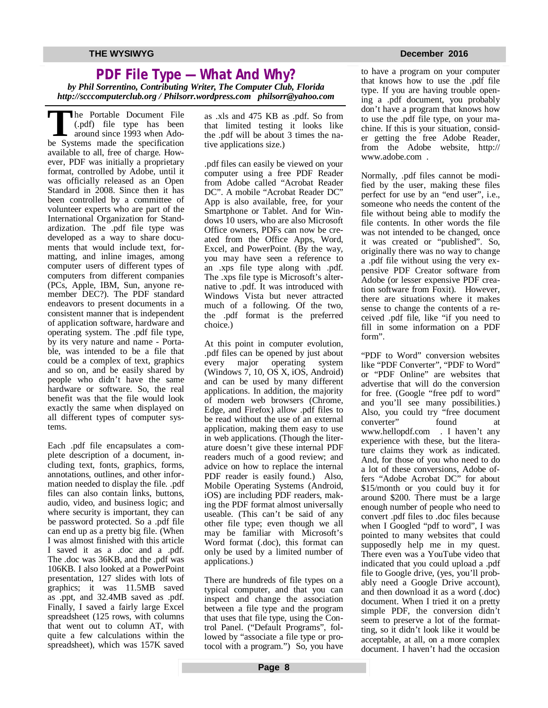### **PDF File Type — What And Why?** *by Phil Sorrentino, Contributing Writer, The Computer Club, Florida http://scccomputerclub.org / Philsorr.wordpress.com [philsorr@yahoo.com](mailto:philsorr@yahoo.com)*

**T**be Portable Document File<br>
(.pdf) file type has been<br>
around since 1993 when Ado-<br>
be Systems made the specification he Portable Document File (.pdf) file type has been around since 1993 when Adoavailable to all, free of charge. However, PDF was initially a proprietary format, controlled by Adobe, until it was officially released as an Open Standard in 2008. Since then it has been controlled by a committee of volunteer experts who are part of the International Organization for Standardization. The .pdf file type was developed as a way to share documents that would include text, formatting, and inline images, among computer users of different types of computers from different companies (PCs, Apple, IBM, Sun, anyone remember DEC?). The PDF standard endeavors to present documents in a consistent manner that is independent of application software, hardware and operating system. The .pdf file type, by its very nature and name - Portable, was intended to be a file that could be a complex of text, graphics and so on, and be easily shared by people who didn't have the same hardware or software. So, the real benefit was that the file would look exactly the same when displayed on all different types of computer systems.

Each .pdf file encapsulates a complete description of a document, including text, fonts, graphics, forms, annotations, outlines, and other information needed to display the file. .pdf files can also contain links, buttons, audio, video, and business logic; and where security is important, they can be password protected. So a .pdf file can end up as a pretty big file. (When I was almost finished with this article I saved it as a .doc and a .pdf. The .doc was 36KB, and the .pdf was 106KB. I also looked at a PowerPoint presentation, 127 slides with lots of graphics; it was 11.5MB saved as .ppt, and 32.4MB saved as .pdf. Finally, I saved a fairly large Excel spreadsheet (125 rows, with columns that went out to column AT, with quite a few calculations within the spreadsheet), which was 157K saved as .xls and 475 KB as .pdf. So from that limited testing it looks like the .pdf will be about 3 times the native applications size.)

.pdf files can easily be viewed on your computer using a free PDF Reader from Adobe called "Acrobat Reader DC". A mobile "Acrobat Reader DC" App is also available, free, for your Smartphone or Tablet. And for Windows 10 users, who are also Microsoft Office owners, PDFs can now be created from the Office Apps, Word, Excel, and PowerPoint. (By the way, you may have seen a reference to an .xps file type along with .pdf. The .xps file type is Microsoft's alternative to .pdf. It was introduced with Windows Vista but never attracted much of a following. Of the two, the .pdf format is the preferred choice.)

At this point in computer evolution, .pdf files can be opened by just about every major operating system (Windows 7, 10, OS X, iOS, Android) and can be used by many different applications. In addition, the majority of modern web browsers (Chrome, Edge, and Firefox) allow .pdf files to be read without the use of an external application, making them easy to use in web applications. (Though the literature doesn't give these internal PDF readers much of a good review; and advice on how to replace the internal PDF reader is easily found.) Also, Mobile Operating Systems (Android, iOS) are including PDF readers, making the PDF format almost universally useable. (This can't be said of any other file type; even though we all may be familiar with Microsoft's Word format (.doc), this format can only be used by a limited number of applications.)

There are hundreds of file types on a typical computer, and that you can inspect and change the association between a file type and the program that uses that file type, using the Control Panel. ("Default Programs", followed by "associate a file type or protocol with a program.") So, you have

#### **THE WYSIWYG DECEMBER 2016**

to have a program on your computer that knows how to use the .pdf file type. If you are having trouble opening a .pdf document, you probably don't have a program that knows how to use the .pdf file type, on your machine. If this is your situation, consider getting the free Adobe Reader, from the Adobe website, http:// [www.adobe.com](http://www.adobe.com) .

Normally, .pdf files cannot be modified by the user, making these files perfect for use by an "end user", i.e., someone who needs the content of the file without being able to modify the file contents. In other words the file was not intended to be changed, once it was created or "published". So, originally there was no way to change a .pdf file without using the very expensive PDF Creator software from Adobe (or lesser expensive PDF creation software from Foxit). However, there are situations where it makes sense to change the contents of a received .pdf file, like "if you need to fill in some information on a PDF form".

"PDF to Word" conversion websites like "PDF Converter", "PDF to Word" or "PDF Online" are websites that advertise that will do the conversion for free. (Google "free pdf to word" and you'll see many possibilities.) Also, you could try "free document converter" found at [www.hellopdf.com](http://www.hellopdf.com) . I haven't any experience with these, but the literature claims they work as indicated. And, for those of you who need to do a lot of these conversions, Adobe offers "Adobe Acrobat DC" for about \$15/month or you could buy it for around \$200. There must be a large enough number of people who need to convert .pdf files to .doc files because when I Googled "pdf to word", I was pointed to many websites that could supposedly help me in my quest. There even was a YouTube video that indicated that you could upload a .pdf file to Google drive, (yes, you'll probably need a Google Drive account), and then download it as a word (.doc) document. When I tried it on a pretty simple PDF, the conversion didn't seem to preserve a lot of the formatting, so it didn't look like it would be acceptable, at all, on a more complex document. I haven't had the occasion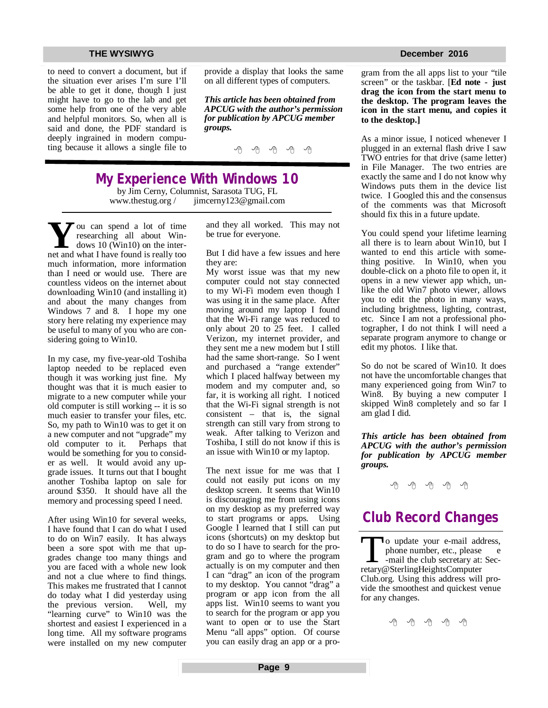to need to convert a document, but if the situation ever arises I'm sure I'll be able to get it done, though I just might have to go to the lab and get some help from one of the very able and helpful monitors. So, when all is said and done, the PDF standard is deeply ingrained in modern computing because it allows a single file to provide a display that looks the same on all different types of computers.

*This article has been obtained from APCUG with the author's permission for publication by APCUG member groups.*

丹 丹 丹 丹

## **My Experience With Windows 10**

by Jim Cerny, Columnist, Sarasota TUG, FL [www.thestug.org](http://www.thestug.org) / [jimcerny123@gmail.com](mailto:jimcerny123@gmail.com)

**Y**merged a lot of time<br>
researching all about Win-<br>
net and what I have found is really too  $\overline{Z}$  ou can spend a lot of time researching all about Windows 10 (Win10) on the intermuch information, more information than I need or would use. There are countless videos on the internet about downloading Win10 (and installing it) and about the many changes from Windows 7 and 8. I hope my one story here relating my experience may be useful to many of you who are considering going to Win10.

In my case, my five-year-old Toshiba laptop needed to be replaced even though it was working just fine. My thought was that it is much easier to migrate to a new computer while your old computer is still working -- it is so much easier to transfer your files, etc. So, my path to Win10 was to get it on a new computer and not "upgrade" my old computer to it. Perhaps that would be something for you to consider as well. It would avoid any upgrade issues. It turns out that I bought another Toshiba laptop on sale for around \$350. It should have all the memory and processing speed I need.

After using Win10 for several weeks, I have found that I can do what I used to do on Win7 easily. It has always been a sore spot with me that upgrades change too many things and you are faced with a whole new look and not a clue where to find things. This makes me frustrated that I cannot do today what I did yesterday using the previous version. Well, my "learning curve" to Win10 was the shortest and easiest I experienced in a long time. All my software programs were installed on my new computer and they all worked. This may not be true for everyone.

But I did have a few issues and here they are:

My worst issue was that my new computer could not stay connected to my Wi-Fi modem even though I was using it in the same place. After moving around my laptop I found that the Wi-Fi range was reduced to only about 20 to 25 feet. I called Verizon, my internet provider, and they sent me a new modem but I still had the same short-range. So I went and purchased a "range extender" which I placed halfway between my modem and my computer and, so far, it is working all right. I noticed that the Wi-Fi signal strength is not consistent – that is, the signal strength can still vary from strong to weak. After talking to Verizon and Toshiba, I still do not know if this is an issue with Win10 or my laptop.

The next issue for me was that I could not easily put icons on my desktop screen. It seems that Win10 is discouraging me from using icons on my desktop as my preferred way to start programs or apps. Using Google I learned that I still can put icons (shortcuts) on my desktop but to do so I have to search for the program and go to where the program actually is on my computer and then I can "drag" an icon of the program to my desktop. You cannot "drag" a program or app icon from the all apps list. Win10 seems to want you to search for the program or app you want to open or to use the Start Menu "all apps" option. Of course you can easily drag an app or a pro-

gram from the all apps list to your "tile screen" or the taskbar. [**Ed note - just drag the icon from the start menu to the desktop. The program leaves the icon in the start menu, and copies it to the desktop.]**

As a minor issue, I noticed whenever I plugged in an external flash drive I saw TWO entries for that drive (same letter) in File Manager. The two entries are exactly the same and I do not know why Windows puts them in the device list twice. I Googled this and the consensus of the comments was that Microsoft should fix this in a future update.

You could spend your lifetime learning all there is to learn about Win10, but I wanted to end this article with something positive. In Win10, when you double-click on a photo file to open it, it opens in a new viewer app which, unlike the old Win7 photo viewer, allows you to edit the photo in many ways, including brightness, lighting, contrast, etc. Since I am not a professional photographer, I do not think I will need a separate program anymore to change or edit my photos. I like that.

So do not be scared of Win10. It does not have the uncomfortable changes that many experienced going from Win7 to Win8. By buying a new computer I skipped Win8 completely and so far I am glad I did.

*This article has been obtained from APCUG with the author's permission for publication by APCUG member groups.*

个 个 个 个

## **Club Record Changes**

To update your e-mail add<br>phone number, etc., please<br>-mail the club secretary at:<br>retary@SterlingHeightsComputer o update your e-mail address, phone number, etc., please e -mail the club secretary at: Sec-Club.org. Using this address will provide the smoothest and quickest venue for any changes.

平 平 平 平 平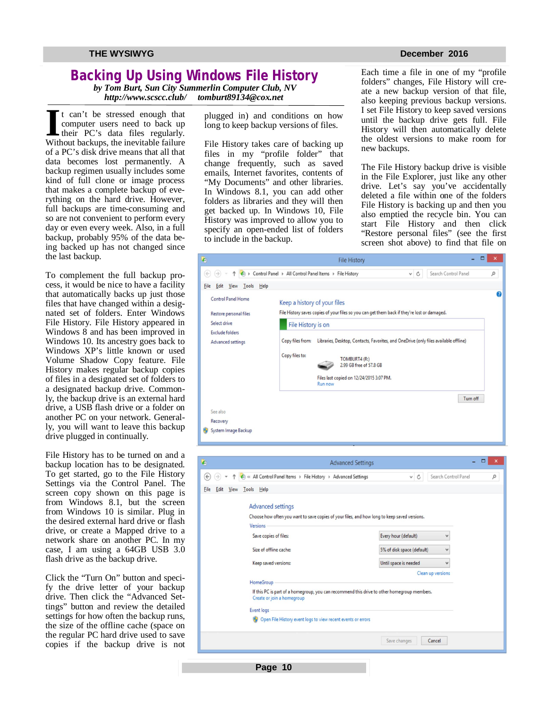## **Backing Up Using Windows File History**

*by Tom Burt, Sun City Summerlin Computer Club, NV http://www.scscc.club/* 

It can't be stressed enough that<br>
computer users need to back up<br>
their PC's data files regularly.<br>
Without backups, the inevitable failure t can't be stressed enough that computer users need to back up their PC's data files regularly. of a PC's disk drive means that all that data becomes lost permanently. A backup regimen usually includes some kind of full clone or image process that makes a complete backup of everything on the hard drive. However, full backups are time-consuming and so are not convenient to perform every day or even every week. Also, in a full backup, probably 95% of the data being backed up has not changed since the last backup.

To complement the full backup process, it would be nice to have a facility that automatically backs up just those files that have changed within a designated set of folders. Enter Windows File History. File History appeared in Windows 8 and has been improved in Windows 10. Its ancestry goes back to Windows XP's little known or used Volume Shadow Copy feature. File History makes regular backup copies of files in a designated set of folders to a designated backup drive. Commonly, the backup drive is an external hard drive, a USB flash drive or a folder on another PC on your network. Generally, you will want to leave this backup drive plugged in continually.

File History has to be turned on and a backup location has to be designated. To get started, go to the File History Settings via the Control Panel. The screen copy shown on this page is from Windows 8.1, but the screen from Windows 10 is similar. Plug in the desired external hard drive or flash drive, or create a Mapped drive to a network share on another PC. In my case, I am using a 64GB USB 3.0 flash drive as the backup drive.

Click the "Turn On" button and specify the drive letter of your backup drive. Then click the "Advanced Settings" button and review the detailed settings for how often the backup runs, the size of the offline cache (space on the regular PC hard drive used to save copies if the backup drive is not plugged in) and conditions on how long to keep backup versions of files.

File History takes care of backing up files in my "profile folder" that change frequently, such as saved emails, Internet favorites, contents of "My Documents" and other libraries. In Windows 8.1, you can add other folders as libraries and they will then get backed up. In Windows 10, File History was improved to allow you to specify an open-ended list of folders to include in the backup.

Each time a file in one of my "profile folders" changes, File History will create a new backup version of that file, also keeping previous backup versions. I set File History to keep saved versions until the backup drive gets full. File History will then automatically delete the oldest versions to make room for new backups.

The File History backup drive is visible in the File Explorer, just like any other drive. Let's say you've accidentally deleted a file within one of the folders File History is backing up and then you also emptied the recycle bin. You can start File History and then click "Restore personal files" (see the first screen shot above) to find that file on

| $\hat{\mathbf{G}}$                           | <b>File History</b>                                                                                               | ×                |
|----------------------------------------------|-------------------------------------------------------------------------------------------------------------------|------------------|
| (4                                           | ← Control Panel > All Control Panel Items > File History<br>$\times$ C<br>Search Control Panel                    | Q                |
| <b>Eile</b><br>Help<br>Tools<br>Edit<br>View |                                                                                                                   |                  |
| <b>Control Panel Home</b>                    | Keep a history of your files                                                                                      | $\boldsymbol{a}$ |
| Restore personal files                       | File History saves copies of your files so you can get them back if they're lost or damaged.                      |                  |
| Select drive                                 | File History is on                                                                                                |                  |
| <b>Exclude folders</b><br>Advanced settings  | Libraries, Desktop, Contacts, Favorites, and OneDrive (only files available offline)<br>Copy files from:          |                  |
|                                              | Copy files to:<br>TOMBURT4 (R:)<br>2.99 GB free of 57.8 GB<br>Files last copied on 12/24/2015 3:07 PM.<br>Run now |                  |
|                                              | Turn off                                                                                                          |                  |
| See also                                     |                                                                                                                   |                  |
| Recovery<br>System Image Backup              |                                                                                                                   |                  |



**Page 10**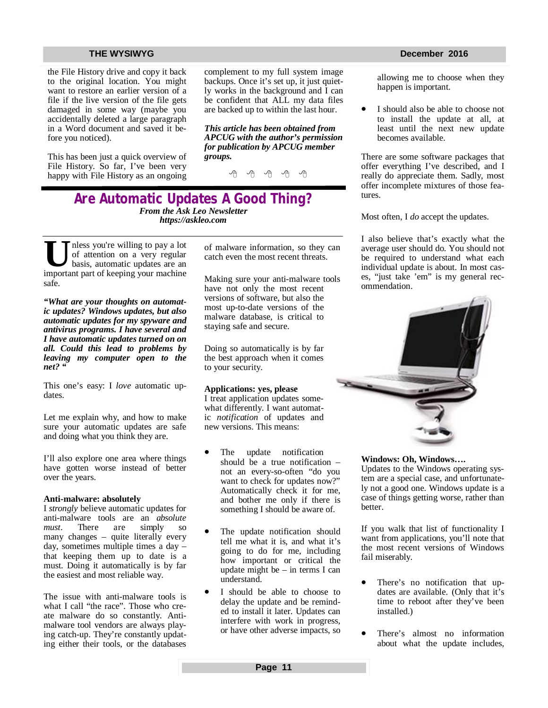#### **THE WYSIWYG December 2016**

the File History drive and copy it back to the original location. You might want to restore an earlier version of a file if the live version of the file gets damaged in some way (maybe you accidentally deleted a large paragraph in a Word document and saved it before you noticed).

This has been just a quick overview of File History. So far, I've been very happy with File History as an ongoing complement to my full system image backups. Once it's set up, it just quietly works in the background and I can be confident that ALL my data files are backed up to within the last hour.

*This article has been obtained from APCUG with the author's permission for publication by APCUG member groups.*

A A A A A

### **Are Automatic Updates A Good Thing?** *From the Ask Leo Newsletter <https://askleo.com>*

**U I**less you're willing to pay a lot of attention on a very regular basis, automatic updates are an important part of keeping your machine nless you're willing to pay a lot of attention on a very regular basis, automatic updates are an safe.

*"What are your thoughts on automatic updates? Windows updates, but also automatic updates for my spyware and antivirus programs. I have several and I have automatic updates turned on on all. Could this lead to problems by leaving my computer open to the net? "*

This one's easy: I *love* automatic updates.

Let me explain why, and how to make sure your automatic updates are safe and doing what you think they are.

I'll also explore one area where things have gotten worse instead of better over the years.

#### **Anti-malware: absolutely**

I *strongly* believe automatic updates for anti-malware tools are an *absolute must*. There are simply so many changes – quite literally every day, sometimes multiple times a day – that keeping them up to date is a must. Doing it automatically is by far the easiest and most reliable way.

The issue with anti-malware tools is what I call "the race". Those who create malware do so constantly. Antimalware tool vendors are always playing catch-up. They're constantly updating either their tools, or the databases

of malware information, so they can catch even the most recent threats.

Making sure your anti-malware tools have not only the most recent versions of software, but also the most up-to-date versions of the malware database, is critical to staying safe and secure.

Doing so automatically is by far the best approach when it comes to your security.

#### **Applications: yes, please**

I treat application updates somewhat differently. I want automatic *notification* of updates and new versions. This means:

- The update notification should be a true notification – not an every-so-often "do you want to check for updates now?" Automatically check it for me, and bother me only if there is something I should be aware of.
- The update notification should tell me what it is, and what it's going to do for me, including how important or critical the update might be – in terms I can understand.
- I should be able to choose to delay the update and be reminded to install it later. Updates can interfere with work in progress, or have other adverse impacts, so

allowing me to choose when they happen is important.

 I should also be able to choose not to install the update at all, at least until the next new update becomes available.

There are some software packages that offer everything I've described, and I really do appreciate them. Sadly, most offer incomplete mixtures of those features.

Most often, I *do* accept the updates.

I also believe that's exactly what the average user should do. You should not be required to understand what each individual update is about. In most cases, "just take 'em" is my general recommendation.



**Windows: Oh, Windows….**

Updates to the Windows operating system are a special case, and unfortunately not a good one. Windows update is a case of things getting worse, rather than better.

If you walk that list of functionality I want from applications, you'll note that the most recent versions of Windows fail miserably.

- There's no notification that updates are available. (Only that it's time to reboot after they've been installed.)
- There's almost no information about what the update includes,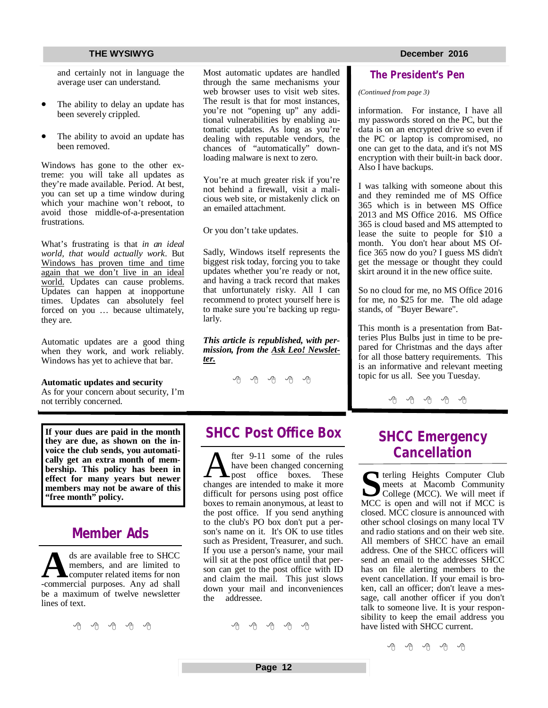and certainly not in language the average user can understand.

- The ability to delay an update has been severely crippled.
- The ability to avoid an update has been removed.

Windows has gone to the other extreme: you will take all updates as they're made available. Period. At best, you can set up a time window during which your machine won't reboot, to avoid those middle-of-a-presentation frustrations.

What's frustrating is that *in an ideal world, that would actually work*. But Windows has proven time and time again that we don't live in an ideal world. Updates can cause problems. Updates can happen at inopportune times. Updates can absolutely feel forced on you … because ultimately, they are.

Automatic updates are a good thing when they work, and work reliably. Windows has yet to achieve that bar.

#### **Automatic updates and security**

As for your concern about security, I'm not terribly concerned.

**If your dues are paid in the month they are due, as shown on the invoice the club sends, you automatically get an extra month of membership. This policy has been in effect for many years but newer members may not be aware of this "free month" policy.**

## **Member Ads**

<sup>ds</sup> are available free to SHCC members, and are limited to computer related items for non-commercial purposes. Any ad shall ds are available free to SHCC members, and are limited to computer related items for non be a maximum of twelve newsletter lines of text.

平 平 平 平 平

Most automatic updates are handled through the same mechanisms your web browser uses to visit web sites. The result is that for most instances, you're not "opening up" any additional vulnerabilities by enabling automatic updates. As long as you're dealing with reputable vendors, the chances of "automatically" downloading malware is next to zero.

You're at much greater risk if you're not behind a firewall, visit a malicious web site, or mistakenly click on an emailed attachment.

Or you don't take updates.

Sadly, Windows itself represents the biggest risk today, forcing you to take updates whether you're ready or not, and having a track record that makes that unfortunately risky. All I can recommend to protect yourself here is to make sure you're backing up regularly.

*This article is republished, with permission, from the Ask Leo! Newsletter.* 

A A A A A

## **SHCC Post Office Box**

A fter 9-11 some of the rules<br>have been changed concerning<br>changes are intended to make it more fter 9-11 some of the rules have been changed concerning **L** post office boxes. These difficult for persons using post office boxes to remain anonymous, at least to the post office. If you send anything to the club's PO box don't put a person's name on it. It's OK to use titles such as President, Treasurer, and such. If you use a person's name, your mail will sit at the post office until that person can get to the post office with ID and claim the mail. This just slows down your mail and inconveniences<br>the addressee addressee

A A A A A

### **The President's Pen**

#### *(Continued from page 3)*

information. For instance, I have all my passwords stored on the PC, but the data is on an encrypted drive so even if the PC or laptop is compromised, no one can get to the data, and it's not MS encryption with their built-in back door. Also I have backups.

I was talking with someone about this and they reminded me of MS Office 365 which is in between MS Office 2013 and MS Office 2016. MS Office 365 is cloud based and MS attempted to lease the suite to people for \$10 a month. You don't hear about MS Office 365 now do you? I guess MS didn't get the message or thought they could skirt around it in the new office suite.

So no cloud for me, no MS Office 2016 for me, no \$25 for me. The old adage stands, of "Buyer Beware".

This month is a presentation from Batteries Plus Bulbs just in time to be prepared for Christmas and the days after for all those battery requirements. This is an informative and relevant meeting topic for us all. See you Tuesday.

有 作 作

## **SHCC Emergency Cancellation**

**S** MCC is open and will not if MCC is **T** terling Heights Computer Club meets at Macomb Community College (MCC). We will meet if closed. MCC closure is announced with other school closings on many local TV and radio stations and on their web site. All members of SHCC have an email address. One of the SHCC officers will send an email to the addresses SHCC has on file alerting members to the event cancellation. If your email is broken, call an officer; don't leave a message, call another officer if you don't talk to someone live. It is your responsibility to keep the email address you have listed with SHCC current.

一个 一个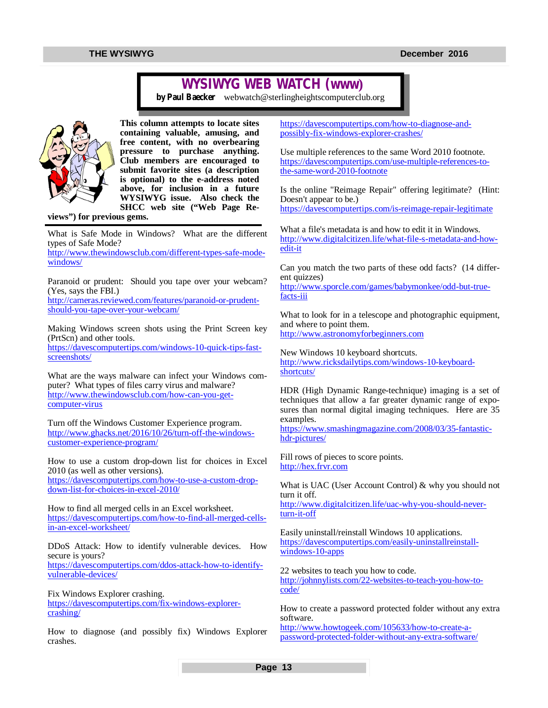## **WYSIWYG WEB WATCH (www)**

*by Paul Baecker* [webwatch@sterlingheightscomputerclub.org](mailto:webwatch@sterlingheightscomputerclub.org)



**This column attempts to locate sites containing valuable, amusing, and free content, with no overbearing pressure to purchase anything. Club members are encouraged to submit favorite sites (a description is optional) to the e-address noted above, for inclusion in a future WYSIWYG issue. Also check the SHCC web site ("Web Page Re-**

**views") for previous gems.** 

What is Safe Mode in Windows? What are the different types of Safe Mode?

[http://www.thewindowsclub.com/different-types-safe-mode](http://www.thewindowsclub.com/different-types-safe-mode-)windows/

Paranoid or prudent: Should you tape over your webcam? (Yes, says the FBI.) [http://cameras.reviewed.com/features/paranoid-or-prudent](http://cameras.reviewed.com/features/paranoid-or-prudent-)should-you-tape-over-your-webcam/

Making Windows screen shots using the Print Screen key (PrtScn) and other tools.

[https://davescomputertips.com/windows-10-quick-tips-fast](https://davescomputertips.com/windows-10-quick-tips-fast-)screenshots/

What are the ways malware can infect your Windows computer? What types of files carry virus and malware? [http://www.thewindowsclub.com/how-can-you-get](http://www.thewindowsclub.com/how-can-you-get-)computer-virus

Turn off the Windows Customer Experience program. [http://www.ghacks.net/2016/10/26/turn-off-the-windows](http://www.ghacks.net/2016/10/26/turn-off-the-windows-)customer-experience-program/

How to use a custom drop-down list for choices in Excel 2010 (as well as other versions). [https://davescomputertips.com/how-to-use-a-custom-drop](https://davescomputertips.com/how-to-use-a-custom-drop-)down-list-for-choices-in-excel-2010/

How to find all merged cells in an Excel worksheet. [https://davescomputertips.com/how-to-find-all-merged-cells](https://davescomputertips.com/how-to-find-all-merged-cells-)in-an-excel-worksheet/

DDoS Attack: How to identify vulnerable devices. How secure is yours? [https://davescomputertips.com/ddos-attack-how-to-identify](https://davescomputertips.com/ddos-attack-how-to-identify-)vulnerable-devices/

Fix Windows Explorer crashing. [https://davescomputertips.com/fix-windows-explorer](https://davescomputertips.com/fix-windows-explorer-)crashing/

How to diagnose (and possibly fix) Windows Explorer crashes.

[https://davescomputertips.com/how-to-diagnose-and](https://davescomputertips.com/how-to-diagnose-and-)possibly-fix-windows-explorer-crashes/

Use multiple references to the same Word 2010 footnote. [https://davescomputertips.com/use-multiple-references-to](https://davescomputertips.com/use-multiple-references-to-)the-same-word-2010-footnote

Is the online "Reimage Repair" offering legitimate? (Hint: Doesn't appear to be.)

<https://davescomputertips.com/is-reimage-repair-legitimate>

What a file's metadata is and how to edit it in Windows. [http://www.digitalcitizen.life/what-file-s-metadata-and-how](http://www.digitalcitizen.life/what-file-s-metadata-and-how-)edit-it

Can you match the two parts of these odd facts? (14 different quizzes)

[http://www.sporcle.com/games/babymonkee/odd-but-true](http://www.sporcle.com/games/babymonkee/odd-but-true-)facts-iii

What to look for in a telescope and photographic equipment, and where to point them. <http://www.astronomyforbeginners.com>

New Windows 10 keyboard shortcuts. [http://www.ricksdailytips.com/windows-10-keyboard](http://www.ricksdailytips.com/windows-10-keyboard-)shortcuts/

HDR (High Dynamic Range-technique) imaging is a set of techniques that allow a far greater dynamic range of exposures than normal digital imaging techniques. Here are 35 examples.

[https://www.smashingmagazine.com/2008/03/35-fantastic](https://www.smashingmagazine.com/2008/03/35-fantastic-)hdr-pictures/

Fill rows of pieces to score points. <http://hex.frvr.com>

What is UAC (User Account Control) & why you should not turn it off.

[http://www.digitalcitizen.life/uac-why-you-should-never](http://www.digitalcitizen.life/uac-why-you-should-never-)turn-it-off

Easily uninstall/reinstall Windows 10 applications. [https://davescomputertips.com/easily-uninstallreinstall](https://davescomputertips.com/easily-uninstallreinstall-)windows-10-apps

22 websites to teach you how to code.

[http://johnnylists.com/22-websites-to-teach-you-how-to](http://johnnylists.com/22-websites-to-teach-you-how-to-)code/

How to create a password protected folder without any extra software.

[http://www.howtogeek.com/105633/how-to-create-a](http://www.howtogeek.com/105633/how-to-create-a-)password-protected-folder-without-any-extra-software/

**Page 13**